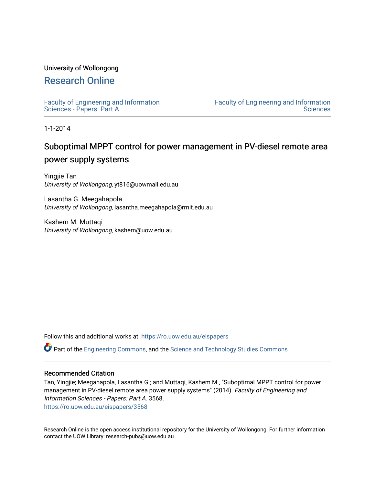## University of Wollongong

# [Research Online](https://ro.uow.edu.au/)

[Faculty of Engineering and Information](https://ro.uow.edu.au/eispapers)  [Sciences - Papers: Part A](https://ro.uow.edu.au/eispapers) 

[Faculty of Engineering and Information](https://ro.uow.edu.au/eis)  **Sciences** 

1-1-2014

# Suboptimal MPPT control for power management in PV-diesel remote area power supply systems

Yingjie Tan University of Wollongong, yt816@uowmail.edu.au

Lasantha G. Meegahapola University of Wollongong, lasantha.meegahapola@rmit.edu.au

Kashem M. Muttaqi University of Wollongong, kashem@uow.edu.au

Follow this and additional works at: [https://ro.uow.edu.au/eispapers](https://ro.uow.edu.au/eispapers?utm_source=ro.uow.edu.au%2Feispapers%2F3568&utm_medium=PDF&utm_campaign=PDFCoverPages)

Part of the [Engineering Commons](http://network.bepress.com/hgg/discipline/217?utm_source=ro.uow.edu.au%2Feispapers%2F3568&utm_medium=PDF&utm_campaign=PDFCoverPages), and the [Science and Technology Studies Commons](http://network.bepress.com/hgg/discipline/435?utm_source=ro.uow.edu.au%2Feispapers%2F3568&utm_medium=PDF&utm_campaign=PDFCoverPages)

### Recommended Citation

Tan, Yingjie; Meegahapola, Lasantha G.; and Muttaqi, Kashem M., "Suboptimal MPPT control for power management in PV-diesel remote area power supply systems" (2014). Faculty of Engineering and Information Sciences - Papers: Part A. 3568. [https://ro.uow.edu.au/eispapers/3568](https://ro.uow.edu.au/eispapers/3568?utm_source=ro.uow.edu.au%2Feispapers%2F3568&utm_medium=PDF&utm_campaign=PDFCoverPages) 

Research Online is the open access institutional repository for the University of Wollongong. For further information contact the UOW Library: research-pubs@uow.edu.au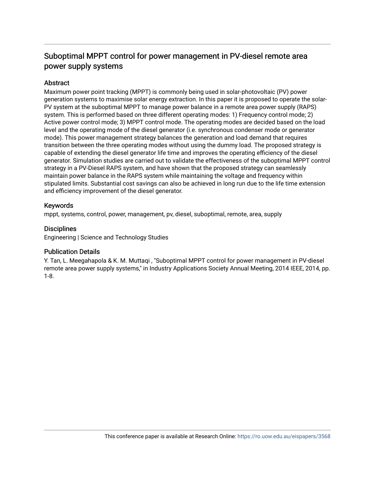# Suboptimal MPPT control for power management in PV-diesel remote area power supply systems

## Abstract

Maximum power point tracking (MPPT) is commonly being used in solar-photovoltaic (PV) power generation systems to maximise solar energy extraction. In this paper it is proposed to operate the solar-PV system at the suboptimal MPPT to manage power balance in a remote area power supply (RAPS) system. This is performed based on three different operating modes: 1) Frequency control mode; 2) Active power control mode; 3) MPPT control mode. The operating modes are decided based on the load level and the operating mode of the diesel generator (i.e. synchronous condenser mode or generator mode). This power management strategy balances the generation and load demand that requires transition between the three operating modes without using the dummy load. The proposed strategy is capable of extending the diesel generator life time and improves the operating efficiency of the diesel generator. Simulation studies are carried out to validate the effectiveness of the suboptimal MPPT control strategy in a PV-Diesel RAPS system, and have shown that the proposed strategy can seamlessly maintain power balance in the RAPS system while maintaining the voltage and frequency within stipulated limits. Substantial cost savings can also be achieved in long run due to the life time extension and efficiency improvement of the diesel generator.

# Keywords

mppt, systems, control, power, management, pv, diesel, suboptimal, remote, area, supply

# **Disciplines**

Engineering | Science and Technology Studies

## Publication Details

Y. Tan, L. Meegahapola & K. M. Muttaqi , "Suboptimal MPPT control for power management in PV-diesel remote area power supply systems," in Industry Applications Society Annual Meeting, 2014 IEEE, 2014, pp. 1-8.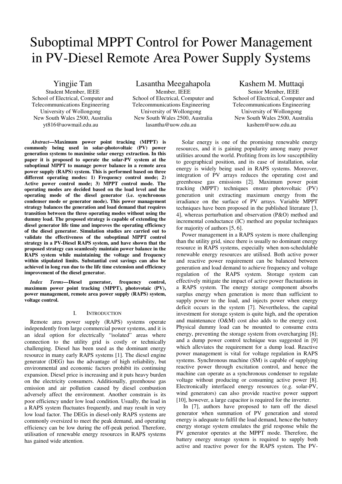# Suboptimal MPPT Control for Power Management in PV-Diesel Remote Area Power Supply Systems

Yingjie Tan

Student Member, IEEE School of Electrical, Computer and Telecommunications Engineering University of Wollongong New South Wales 2500, Australia yt816@uowmail.edu.au

Lasantha Meegahapola Member, IEEE School of Electrical, Computer and Telecommunications Engineering University of Wollongong New South Wales 2500, Australia lasantha@uow.edu.au

 *Abstract***—Maximum power point tracking (MPPT) is commonly being used in solar-photovoltaic (PV) power generation systems to maximise solar energy extraction. In this paper it is proposed to operate the solar-PV system at the suboptimal MPPT to manage power balance in a remote area power supply (RAPS) system. This is performed based on three different operating modes: 1) Frequency control mode; 2) Active power control mode; 3) MPPT control mode. The operating modes are decided based on the load level and the operating mode of the diesel generator (i.e. synchronous condenser mode or generator mode). This power management strategy balances the generation and load demand that requires transition between the three operating modes without using the dummy load. The proposed strategy is capable of extending the diesel generator life time and improves the operating efficiency of the diesel generator. Simulation studies are carried out to validate the effectiveness of the suboptimal MPPT control strategy in a PV-Diesel RAPS system, and have shown that the proposed strategy can seamlessly maintain power balance in the RAPS system while maintaining the voltage and frequency within stipulated limits. Substantial cost savings can also be achieved in long run due to the life time extension and efficiency improvement of the diesel generator.** 

*Index Terms—***Diesel generator, frequency control, maximum power point tracking (MPPT), photovotaic (PV), power management, remote area power supply (RAPS) system, voltage control.** 

#### I. INTRODUCTION

Remote area power supply (RAPS) systems operate independently from large commercial power systems, and it is an ideal option for electrically "isolated" areas where connection to the utility grid is costly or technically challenging. Diesel has been used as the dominant energy resource in many early RAPS systems [1]. The diesel engine generator (DEG) has the advantage of high reliability, but environmental and economic factors prohibit its continuing expansion. Diesel price is increasing and it puts heavy burden on the electricity consumers. Additionally, greenhouse gas emission and air pollution caused by diesel combustion adversely affect the environment. Another constrain is its poor efficiency under low load condition. Usually, the load in a RAPS system fluctuates frequently, and may result in very low load factor. The DEGs in diesel-only RAPS systems are commonly oversized to meet the peak demand, and operating efficiency can be low during the off-peak period. Therefore, utilisation of renewable energy resources in RAPS systems has gained wide attention.

Solar energy is one of the promising renewable energy resources, and it is gaining popularity among many power utilities around the world. Profiting from its low susceptibility to geographical position, and its ease of installation, solar energy is widely being used in RAPS systems. Moreover, integration of PV arrays reduces the operating cost and greenhouse gas emissions [2]. Maximum power point tracking (MPPT) techniques ensure photovoltaic (PV) generation unit extracting maximum energy from the irradiance on the surface of PV arrays. Variable MPPT techniques have been proposed in the published literature [3, 4], whereas perturbation and observation (P&O) method and incremental conductance (IC) method are popular techniques for majority of authors [5, 6].

Kashem M. Muttaqi Senior Member, IEEE School of Electrical, Computer and Telecommunications Engineering University of Wollongong New South Wales 2500, Australia kashem@uow.edu.au

Power management in a RAPS system is more challenging than the utility grid, since there is usually no dominant energy resource in RAPS systems, especially when non-schedulable renewable energy resources are utilised. Both active power and reactive power requirement can be balanced between generation and load demand to achieve frequency and voltage regulation of the RAPS system. Storage system can effectively mitigate the impact of active power fluctuations in a RAPS system. The energy storage component absorbs surplus energy when generation is more than sufficient to supply power to the load, and injects power when energy deficit occurs in the system [7]. Nevertheless, the capital investment for storage system is quite high, and the operation and maintenance (O&M) cost also adds to the energy cost. Physical dummy load can be mounted to consume extra energy, preventing the storage system from overcharging [8]; and a dump power control technique was suggested in [9] which alleviates the requirement for a dump load. Reactive power management is vital for voltage regulation in RAPS systems. Synchronous machine (SM) is capable of supplying reactive power through excitation control, and hence the machine can operate as a synchronous condenser to regulate voltage without producing or consuming active power [8]. Electronically interfaced energy resources (e.g. solar-PV, wind generators) can also provide reactive power support [10], however, a large capacitor is required for the inverter.

 In [7], authors have proposed to turn off the diesel generator when summation of PV generation and stored energy is adequate to fulfil the load demand, hence the battery energy storage system emulates the grid response while the PV generator operates at the MPPT mode. Therefore, the battery energy storage system is required to supply both active and reactive power for the RAPS system. The PV-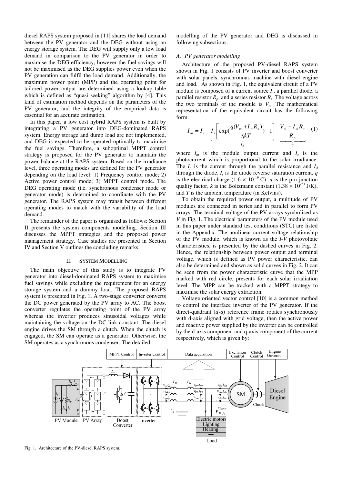diesel RAPS system proposed in [11] shares the load demand between the PV generator and the DEG without using an energy storage system. The DEG will supply only a low load demand in comparison to the PV generator in order to maximise the DEG efficiency, however the fuel savings will not be maximised as the DEG supplies power even when the PV generation can fulfil the load demand. Additionally, the maximum power point (MPP) and the operating point for tailored power output are determined using a lookup table which is defined as "quasi seeking" algorithm by [4]. This kind of estimation method depends on the parameters of the PV generator, and the integrity of the empirical data is essential for an accurate estimation.

In this paper, a low cost hybrid RAPS system is built by integrating a PV generator into DEG-dominated RAPS system. Energy storage and dump load are not implemented, and DEG is expected to be operated optimally to maximise the fuel savings. Therefore, a suboptimal MPPT control strategy is proposed for the PV generator to maintain the power balance at the RAPS system. Based on the irradiance level, three operating modes are defined for the PV generator depending on the load level: 1) Frequency control mode; 2) Active power control mode; 3) MPPT control mode. The DEG operating mode (i.e. synchronous condenser mode or generator mode) is determined to coordinate with the PV generator. The RAPS system may transit between different operating modes to match with the variability of the load demand.

The remainder of the paper is organised as follows: Section II presents the system components modelling. Section III discusses the MPPT strategies and the proposed power management strategy. Case studies are presented in Section IV and Section V outlines the concluding remarks.

#### II. SYSTEM MODELLING

The main objective of this study is to integrate PV generator into diesel-dominated RAPS system to maximise fuel savings while excluding the requirement for an energy storage system and a dummy load. The proposed RAPS system is presented in Fig. 1. A two-stage converter converts the DC power generated by the PV array to AC. The boost converter regulates the operating point of the PV array whereas the inverter produces sinusoidal voltages while maintaining the voltage on the DC-link constant. The diesel engine drives the SM through a clutch. When the clutch is engaged, the SM can operate as a generator. Otherwise, the SM operates as a synchronous condenser. The detailed

modelling of the PV generator and DEG is discussed in following subsections.

#### *A. PV generator modelling*

Architecture of the proposed PV-diesel RAPS system shown in Fig. 1 consists of PV inverter and boost converter with solar panels, synchronous machine with diesel engine and load. As shown in Fig. 1, the equivalent circuit of a PV module is composed of a current source *I<sup>s</sup>* , a parallel diode, a parallel resistor  $R_p$ , and a series resistor  $R_s$ . The voltage across the two terminals of the module is  $V_m$ . The mathematical representation of the equivalent circuit has the following form:

$$
I_m = I_s - I_r \left[ \exp(\frac{q(V_m + I_m R_s)}{\eta kT}) - 1 \right] - \frac{V_m + I_m R_s}{R_p} \quad (1)
$$

where  $I_m$  is the module output current and  $I_s$  is the photocurrent which is proportional to the solar irradiance. The  $I_p$  is the current through the parallel resistance and  $I_d$ through the diode. *I<sup>r</sup>* is the diode reverse saturation current, *q* is the electrical charge (1.6  $\times$  10<sup>-19</sup> C),  $\eta$  is the p-n junction quality factor, *k* is the Boltzmann constant (1.38  $\times$  10<sup>-23</sup> J/K), and *T* is the ambient temperature (in Kelvins).

To obtain the required power output, a multitude of PV modules are connected in series and in parallel to form PV arrays. The terminal voltage of the PV arrays symbolised as *V* in Fig. 1. The electrical parameters of the PV module used in this paper under standard test conditions (STC) are listed in the Appendix. The nonlinear current-voltage relationship of the PV module, which is known as the *I*-*V* photovoltaic characteristics, is presented by the dashed curves in Fig. 2. Hence, the relationship between power output and terminal voltage, which is defined as PV power characteristic, can also be determined and shown as solid curves in Fig. 2. It can be seen from the power characteristic curve that the MPP marked with red circle, presents for each solar irradiation level. The MPP can be tracked with a MPPT strategy to maximise the solar energy extraction.

Voltage oriented vector control [10] is a common method to control the interface inverter of the PV generator. If the direct-quadrant (*d-q*) reference frame rotates synchronously with d-axis aligned with grid voltage, then the active power and reactive power supplied by the inverter can be controlled by the d-axis component and q-axis component of the current respectively, which is given by:

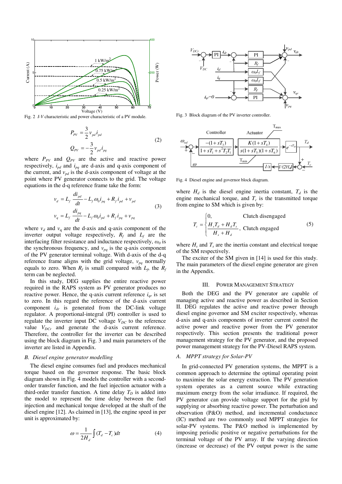

Fig. 2 *I-V* characteristic and power characteristic of a PV module.

$$
P_{p\text{v}} = \frac{3}{2} v_{pd} i_{pd}
$$
  

$$
Q_{p\text{v}} = -\frac{3}{2} v_{pd} i_{pq}
$$
 (2)

where  $P_{PV}$  and  $Q_{PV}$  are the active and reactive power respectively,  $i_{pd}$  and  $i_{pq}$  are d-axis and q-axis component of the current, and  $v_{pd}$  is the d-axis component of voltage at the point where PV generator connects to the grid. The voltage equations in the d-q reference frame take the form:

$$
v_d = L_f \frac{di_{pd}}{dt} - L_f \omega_0 i_{pq} + R_f i_{pd} + v_{pd}
$$
  

$$
v_q = L_f \frac{di_{pq}}{dt} - L_f \omega_0 i_{pd} + R_f i_{pq} + v_{pq}
$$
 (3)

where  $v_d$  and  $v_q$  are the d-axis and q-axis component of the inverter output voltage respectively,  $R_f$  and  $L_f$  are the interfacing filter resistance and inductance respectively,  $\omega_0$  is the synchronous frequency, and  $v_{pq}$  is the q-axis component of the PV generator terminal voltage. With d-axis of the d-q reference frame aligns with the grid voltage,  $v_{pq}$  normally equals to zero. When  $R_f$  is small compared with  $L_f$ , the  $R_f$ term can be neglected.

In this study, DEG supplies the entire reactive power required in the RAPS system as PV generator produces no reactive power. Hence, the q-axis current reference  $i_{ar}$  is set to zero. In this regard the reference of the d-axis current component  $i_{dr}$  is generated from the DC-link voltage regulator. A proportional-integral (PI) controller is used to regulate the inverter input DC voltage  $V_{DC}$  to the reference value  $V_{DCr}$  and generate the d-axis current reference. Therefore, the controller for the inverter can be described using the block diagram in Fig. 3 and main parameters of the inverter are listed in Appendix.

#### *B. Diesel engine generator modelling*

The diesel engine consumes fuel and produces mechanical torque based on the governor response. The basic block diagram shown in Fig. 4 models the controller with a secondorder transfer function, and the fuel injection actuator with a third-order transfer function. A time delay  $T<sub>D</sub>$  is added into the model to represent the time delay between the fuel injection and mechanical torque developed at the shaft of the diesel engine [12]. As claimed in [13], the engine speed in per unit is approximated by:

$$
\omega = \frac{1}{2H_d} \int (T_d - T_c) dt
$$
 (4)



Fig. 3 Block diagram of the PV inverter controller.



Fig. 4 Diesel engine and governor block diagram.

where  $H_d$  is the diesel engine inertia constant,  $T_d$  is the engine mechanical torque, and  $T_c$  is the transmitted torque from engine to SM which is given by:

$$
T_c = \begin{cases} 0, & \text{Clutch disappeared} \\ \frac{H_s T_d + H_d T_s}{H_s + H_d}, & \text{Clutch engaged} \end{cases}
$$
(5)

where  $H_s$  and  $T_s$  are the inertia constant and electrical torque of the SM respectively.

The exciter of the SM given in [14] is used for this study. The main parameters of the diesel engine generator are given in the Appendix.

#### III. POWER MANAGEMENT STRATEGY

Both the DEG and the PV generator are capable of managing active and reactive power as described in Section II. DEG regulates the active and reactive power through diesel engine governor and SM exciter respectively, whereas d-axis and q-axis components of inverter current control the active power and reactive power from the PV generator respectively. This section presents the traditional power management strategy for the PV generator, and the proposed power management strategy for the PV-Diesel RAPS system.

#### *A. MPPT strategy for Solar-PV*

In grid-connected PV generation systems, the MPPT is a common approach to determine the optimal operating point to maximise the solar energy extraction. The PV generation system operates as a current source while extracting maximum energy from the solar irradiance. If required, the PV generator can provide voltage support for the grid by supplying or absorbing reactive power. The perturbation and observation (P&O) method, and incremental conductance (IC) method are two commonly used MPPT strategies for solar-PV systems. The P&O method is implemented by imposing periodic positive or negative perturbations for the terminal voltage of the PV array. If the varying direction (increase or decrease) of the PV output power is the same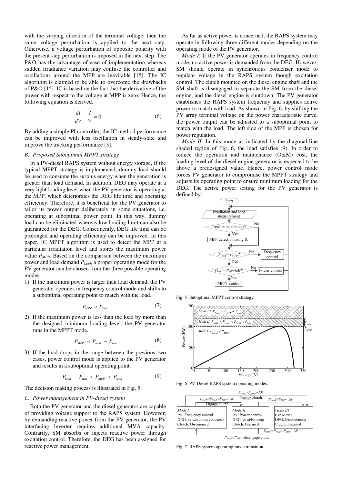with the varying direction of the terminal voltage, then the same voltage perturbation is applied to the next step. Otherwise, a voltage perturbation of opposite polarity with the present step perturbation is imposed in the next step. The P&O has the advantage of ease of implementation whereas sudden irradiance variation may confuse the controller and oscillations around the MPP are inevitable [15]. The IC algorithm is claimed to be able to overcome the drawbacks of P&O [15]. IC is based on the fact that the derivative of the power with respect to the voltage at MPP is zero. Hence, the following equation is derived.

$$
\frac{dI}{dV} + \frac{I}{V} = 0\tag{6}
$$

By adding a simple PI controller, the IC method performance can be improved with less oscillation in steady-state and improve the tracking performance [3].

#### *B. Proposed Suboptimal MPPT strategy*

In a PV-diesel RAPS system without energy storage, if the typical MPPT strategy is implemented, dummy load should be used to consume the surplus energy when the generation is greater than load demand. In addition, DEG may operate at a very light loading level when the PV generator is operating at the MPP, which deteriorates the DEG life time and operating efficiency. Therefore, it is beneficial for the PV generator to tailor its power output deliberately in some situations, i.e. operating at suboptimal power point. In this way, dummy load can be eliminated whereas low loading limit can also be guaranteed for the DEG. Consequently, DEG life time can be prolonged and operating efficiency can be improved. In this paper, IC MPPT algorithm is used to detect the MPP at a particular irradiation level and stores the maximum power value  $P_{MPP}$ . Based on the comparison between the maximum power and load demand *Pload*, a proper operating mode for the PV generator can be chosen from the three possible operating modes:

1) If the maximum power is larger than load demand, the PV generator operates in frequency control mode and shifts to a suboptimal operating point to match with the load.

$$
P_{MPP} > P_{load} \tag{7}
$$

2) If the maximum power is less than the load by more than the designed minimum loading level, the PV generator runs in the MPPT mode.

$$
P_{MPP} < P_{load} - P_{min} \tag{8}
$$

3) If the load drops in the range between the previous two cases, power control mode is applied to the PV generator and results in a suboptimal operating point.

$$
P_{load} - P_{min} < P_{MPP} < P_{load} \tag{9}
$$

The decision making process is illustrated in Fig. 5.

#### *C. Power management in PV-diesel system*

Both the PV generator and the diesel generator are capable of providing voltage support to the RAPS system. However, by demanding reactive power from the PV generator, the PV interfacing inverter requires additional MVA capacity. Contrarily, SM absorbs or injects reactive power through excitation control. Therefore, the DEG has been assigned for reactive power management.

As far as active power is concerned, the RAPS system may operate in following three different modes depending on the operating mode of the PV generator.

*Mode I*: If the PV generator operates in frequency control mode, no active power is demanded from the DEG. However, SM should operate in synchronous condenser mode to regulate voltage in the RAPS system though excitation control. The clutch mounted on the diesel engine shaft and the SM shaft is disengaged to separate the SM from the diesel engine, and the diesel engine is shutdown. The PV generator establishes the RAPS system frequency and supplies active power to match with load. As shown in Fig. 6, by shifting the PV array terminal voltage on the power characteristic curve, the power output can be adjusted to a suboptimal point to match with the load. The left side of the MPP is chosen for power regulation.

*Mode II*: In this mode as indicated by the diagonal-line shaded region of Fig. 6, the load satisfies (9). In order to reduce the operation and maintenance (O&M) cost, the loading level of the diesel engine generator is expected to be above a predesigned value. Hence, power control mode forces PV generator to compromise the MPPT strategy and adjusts its operating point to ensure minimum loading for the DEG. The active power setting for the PV generator is defined by:



Fig. 5 Suboptimal MPPT control strategy.



Fig. 6 PV-Diesel RAPS system operating modes.



Fig. 7 RAPS system operating mode transition.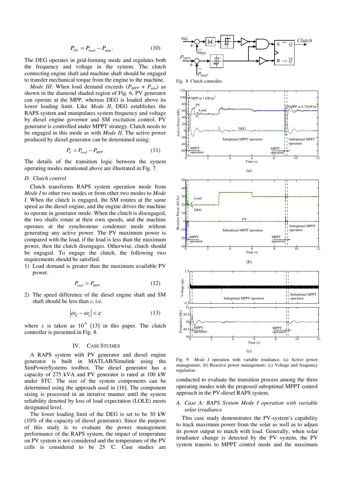$$
P_{\text{pv}} = P_{\text{load}} - P_{\text{min}} \,. \tag{10}
$$

The DEG operates in grid-forming mode and regulates both the frequency and voltage in the system. The clutch connecting engine shaft and machine shaft should be engaged to transfer mechanical torque from the engine to the machine.

*Mode III*: When load demand exceeds  $(P_{MPP} + P_{min})$  as shown in the diamond shaded region of Fig. 6, PV generator can operate at the MPP, whereas DEG is loaded above its lower loading limit. Like *Mode II*, DEG establishes the RAPS system and manipulates system frequency and voltage by diesel engine governor and SM excitation control. PV generator is controlled under MPPT strategy. Clutch needs to be engaged in this mode as with *Mode II*. The active power produced by diesel generator can be determined using:

$$
P_d = P_{load} - P_{MPP} \tag{11}
$$

The details of the transition logic between the system operating modes mentioned above are illustrated in Fig. 7.

#### *D. Clutch control*

Clutch transforms RAPS system operation mode from *Mode I* to other two modes or from other two modes to *Mode I*. When the clutch is engaged, the SM rotates at the same speed as the diesel engine, and the engine drives the machine to operate in generator mode. When the clutch is disengaged, the two shafts rotate at their own speeds, and the machine operates at the synchronous condenser mode without generating any active power. The PV maximum power is compared with the load, if the load is less than the maximum power, then the clutch disengages. Otherwise, clutch should be engaged. To engage the clutch, the following two requirements should be satisfied.

1) Load demand is greater than the maximum available PV power.

$$
P_{load} > P_{MPP} \tag{12}
$$

2) The speed difference of the diesel engine shaft and SM shaft should be less than  $\varepsilon$ , i.e.

$$
\left| \omega_d - \omega_s \right| < \varepsilon \tag{13}
$$

where  $\varepsilon$  is taken as  $10^{-5}$  [13] in this paper. The clutch controller is presented in Fig. 8.

#### IV. CASE STUDIES

A RAPS system with PV generator and diesel engine generator is built in MATLAB/Simulink using the SimPowerSystems toolbox. The diesel generator has a capacity of 275 kVA and PV generator is rated at 100 kW under STC. The size of the system components can be determined using the approach used in [16]. The component sizing is processed in an iterative manner until the system reliability denoted by loss of load expectation (LOLE) meets designated level.

The lower loading limit of the DEG is set to be 30 kW (10% of the capacity of diesel generator). Since the purpose of this study is to evaluate the power management performance of the RAPS system, the impact of temperature on PV system is not considered and the temperature of the PV cells is considered to be 25 ºC. Case studies are



120 100 MPP at 1 kW/m<sup>2</sup> 80 PV MPP at  $0.75$ kW/m 60 Load sctive Power (kW) Active Power (kW)  $\overline{40}$ 20 DEG  $\mathbf{0}$ -20 Suboptimal MPPT operation Suboptimal MPPT operation -40 MPPT MPPT -60 operatio operation 0 2 4 6 8 10 12  $\frac{6}{2}$ 



Fig. 9 *Mode I* operation with variable irradiance. (a) Active power management; (b) Reactive power management; (c) Voltage and frequency regulation.

conducted to evaluate the transition process among the three operating modes with the proposed suboptimal MPPT control approach in the PV-diesel RAPS system.

#### *A. Case A: RAPS System Mode I operation with variable solar irradiance*

This case study demonstrates the PV-system's capability to track maximum power from the solar as well as to adjust its power output to match with load. Generally, when solar irradiance change is detected by the PV system, the PV system transits to MPPT control mode and the maximum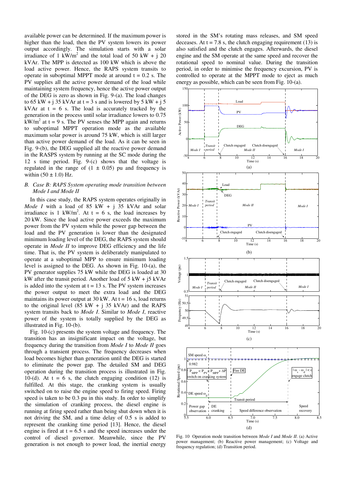available power can be determined. If the maximum power is higher than the load, then the PV system lowers its power output accordingly. The simulation starts with a solar irradiance of 1 kW/m<sup>2</sup> and the total load of 50 kW + j 20 kVAr. The MPP is detected as 100 kW which is above the load active power. Hence, the RAPS system transits to operate in suboptimal MPPT mode at around  $t = 0.2$  s. The PV supplies all the active power demand of the load while maintaining system frequency, hence the active power output of the DEG is zero as shown in Fig. 9-(a). The load changes to 65 kW + j 35 kVAr at  $t = 3$  s and is lowered by 5 kW + j 5 kVAr at  $t = 6$  s. The load is accurately tracked by the generation in the process until solar irradiance lowers to 0.75  $kW/m<sup>2</sup>$  at t = 9 s. The PV senses the MPP again and returns to suboptimal MPPT operation mode as the available maximum solar power is around 75 kW, which is still larger than active power demand of the load. As it can be seen in Fig. 9-(b), the DEG supplied all the reactive power demand in the RASPS system by running at the SC mode during the 12 s time period. Fig. 9-(c) shows that the voltage is regulated in the range of  $(1 \pm 0.05)$  pu and frequency is within  $(50 \pm 1.0)$  Hz.

#### *B. Case B: RAPS System operating mode transition between Mode I and Mode II*

In this case study, the RAPS system operates originally in *Mode I* with a load of 85 kW + j 35 kVAr and solar irradiance is 1 kW/m<sup>2</sup>. At t = 6 s, the load increases by 20 kW. Since the load active power exceeds the maximum power from the PV system while the power gap between the load and the PV generation is lower than the designated minimum loading level of the DEG, the RAPS system should operate in *Mode II* to improve DEG efficiency and the life time. That is, the PV system is deliberately manipulated to operate at a suboptimal MPP to ensure minimum loading level is assigned to the DEG. As shown in Fig. 10-(a), the PV generator supplies 75 kW while the DEG is loaded at 30 kW after the transit period. Another load of  $5 \text{ kW} + 15 \text{ kVAr}$ is added into the system at  $t = 13$  s. The PV system increases the power output to meet the extra load and the DEG maintains its power output at 30 kW. At  $t = 16$  s, load returns to the original level  $(85 \text{ kW} + i 35 \text{ kVAr})$  and the RAPS system transits back to *Mode I*. Similar to *Mode I*, reactive power of the system is totally supplied by the DEG as illustrated in Fig. 10-(b).

Fig. 10-(c) presents the system voltage and frequency. The transition has an insignificant impact on the voltage, but frequency during the transition from *Mode I* to *Mode II* goes through a transient process. The frequency decreases when load becomes higher than generation until the DEG is started to eliminate the power gap. The detailed SM and DEG operation during the transition process is illustrated in Fig. 10-(d). At  $t = 6$  s, the clutch engaging condition (12) is fulfilled. At this stage, the cranking system is usually switched on to raise the engine speed to firing speed. Firing speed is taken to be 0.3 pu in this study. In order to simplify the simulation of cranking process, the diesel engine is running at firing speed rather than being shut down when it is not driving the SM, and a time delay of 0.5 s is added to represent the cranking time period [13]. Hence, the diesel engine is fired at  $t = 6.5$  s and the speed increases under the control of diesel governor. Meanwhile, since the PV generation is not enough to power load, the inertial energy

stored in the SM's rotating mass releases, and SM speed deceases. At  $t = 7.8$  s, the clutch engaging requirement (13) is also satisfied and the clutch engages. Afterwards, the diesel engine and the SM operate at the same speed and recover the rotational speed to nominal value. During the transition period, in order to minimise the frequency excursion, PV is controlled to operate at the MPPT mode to eject as much energy as possible, which can be seen from Fig. 10-(a).



Fig. 10 Operation mode transition between *Mode I* and *Mode II*. (a) Active power management; (b) Reactive power management; (c) Voltage and frequency regulation; (d) Transition period.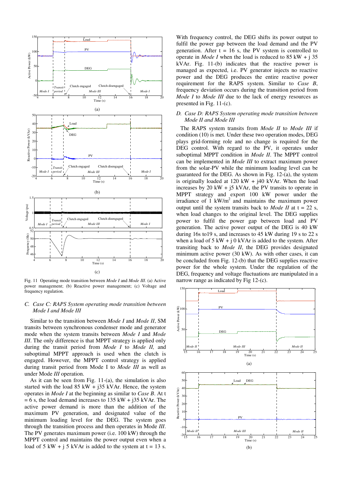

Fig. 11 Operating mode transition between *Mode I* and *Mode III*. (a) Active power management; (b) Reactive power management; (c) Voltage and frequency regulation.

#### *C. Case C: RAPS System operating mode transition between Mode I and Mode III*

Similar to the transition between *Mode I* and *Mode II*, SM transits between synchronous condenser mode and generator mode when the system transits between *Mode I* and *Mode III*. The only difference is that MPPT strategy is applied only during the transit period from *Mode I* to *Mode II,* and suboptimal MPPT approach is used when the clutch is engaged. However, the MPPT control strategy is applied during transit period from Mode I to *Mode III* as well as under Mode *III* operation.

As it can be seen from Fig. 11-(a), the simulation is also started with the load  $85$  kW +  $i35$  kVAr. Hence, the system operates in *Mode I* at the beginning as similar to *Case B*. At t  $= 6$  s, the load demand increases to 135 kW + j35 kVAr. The active power demand is more than the addition of the maximum PV generation, and designated value of the minimum loading level for the DEG. The system goes through the transition process and then operates in Mode *III*. The PV generates maximum power (i.e. 100 kW) through the MPPT control and maintains the power output even when a load of 5 kW +  $\frac{1}{2}$  5 kVAr is added to the system at t = 13 s.

With frequency control, the DEG shifts its power output to fulfil the power gap between the load demand and the PV generation. After  $t = 16$  s, the PV system is controlled to operate in *Mode I* when the load is reduced to 85 kW + j 35 kVAr. Fig. 11-(b) indicates that the reactive power is managed as expected, i.e. PV generator injects no reactive power and the DEG produces the entire reactive power requirement for the RAPS system. Similar to *Case B*, frequency deviation occurs during the transition period from *Mode I* to *Mode III* due to the lack of energy resources as presented in Fig. 11-(c).

#### *D. Case D: RAPS System operating mode transition between Mode II and Mode III*

The RAPS system transits from *Mode II* to *Mode III* if condition (10) is met. Under these two operation modes, DEG plays grid-forming role and no change is required for the DEG control. With regard to the PV, it operates under suboptimal MPPT condition in *Mode II*. The MPPT control can be implemented in *Mode III* to extract maximum power from the solar-PV while the minimum loading level can be guaranteed for the DEG. As shown in Fig. 12-(a), the system is originally loaded at  $120$  kW +  $i40$  kVAr. When the load increases by 20 kW +  $j5$  kVAr, the PV transits to operate in MPPT strategy and export 100 kW power under the irradiance of  $1 \text{ kW/m}^2$  and maintains the maximum power output until the system transits back to *Mode II* at  $t = 22$  s, when load changes to the original level. The DEG supplies power to fulfil the power gap between load and PV generation. The active power output of the DEG is 40 kW during 16s to19 s, and increases to 45 kW during 19 s to 22 s when a load of  $5 \text{ kW} + j0 \text{ kVAr}$  is added to the system. After transiting back to *Mode II*, the DEG provides designated minimum active power (30 kW). As with other cases, it can be concluded from Fig. 12-(b) that the DEG supplies reactive power for the whole system. Under the regulation of the DEG, frequency and voltage fluctuations are manipulated in a narrow range as indicated by Fig 12-(c).